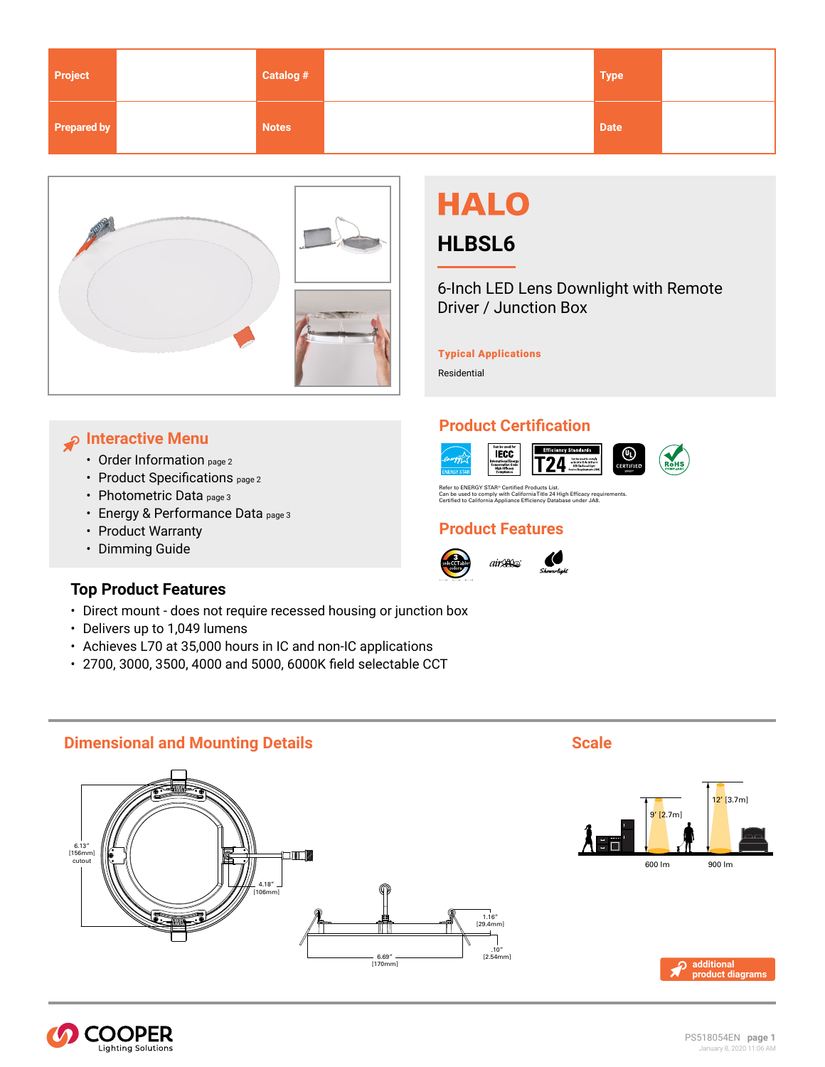<span id="page-0-0"></span>

| Project     | Catalog #    | <b>Type</b> |  |
|-------------|--------------|-------------|--|
| Prepared by | <b>Notes</b> | <b>Date</b> |  |



# **HALO**

## **HLBSL6**

6-Inch LED Lens Downlight with Remote Driver / Junction Box

⊛

### Typical Applications

**Product Certification**

**IECC** 

onserva<br>High E<br>Comp

Refer to ENERGY STAR® Certified Products List.<br>Can be used to comply with California Title 24 High Efficacy requirements.<br>Certified to California Appliance Efficiency Database under JA8.

 $air \mathcal{L}$ 

Effici

≔ 24′

**Product Features**

Residential

## **Interactive Menu**

- [Order Information page 2](#page-1-0)
- [Product Specifications](#page-1-0) page 2
- [Photometric Data page 3](#page-2-0)
- [Energy & Performance Data page 3](#page-2-0)
- [Product Warranty](http://www.halolighting.com)
- Dimming Guide

## **Top Product Features**

- Direct mount does not require recessed housing or junction box
- Delivers up to 1,049 lumens
- Achieves L70 at 35,000 hours in IC and non-IC applications
- 2700, 3000, 3500, 4000 and 5000, 6000K field selectable CCT

## **Dimensional and Mounting Details Scale 3 and Scale 3 and Scale 3 and Scale 3 and Scale 3 and Scale 3 and Scale 3 and Scale 3 and Scale 3 and Scale 3 and Scale 3 and Scale 3 and Scale 3 and Scale 3 and Scale 3 and Scale**







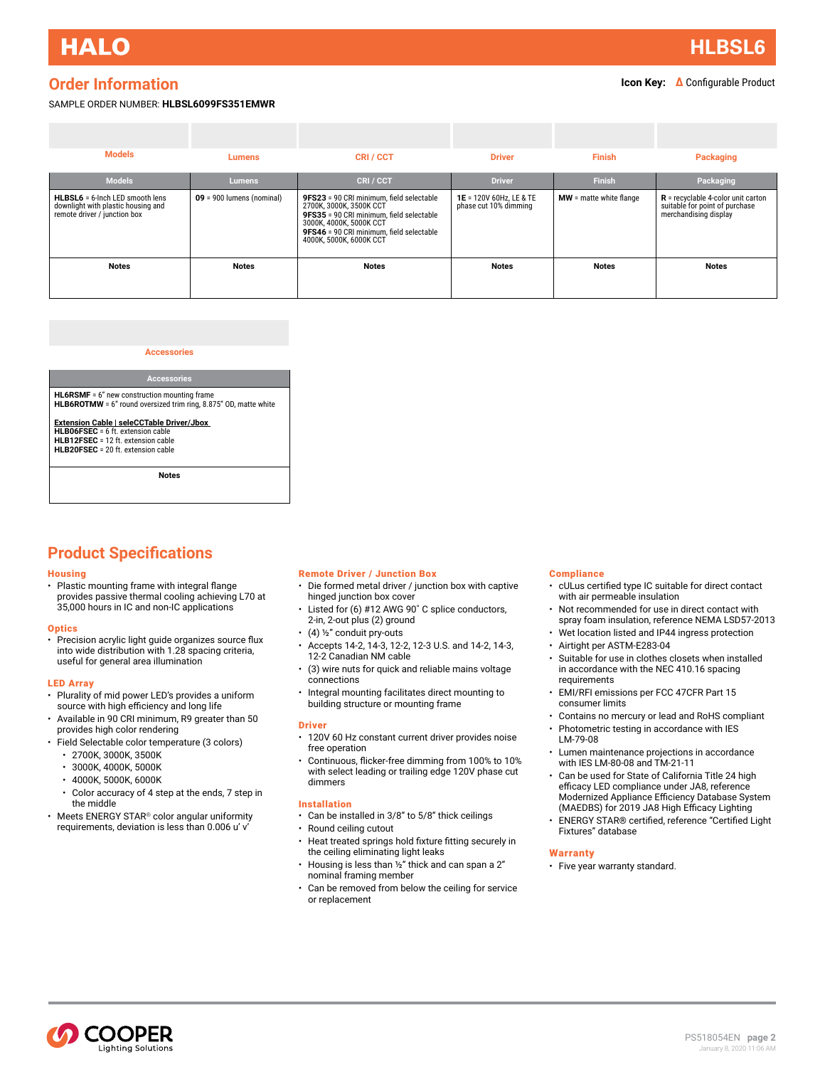**[HLBSL6](#page-0-0)**

### <span id="page-1-0"></span>**Order Information**

### **Icon Key: ∆** Configurable Product

#### SAMPLE ORDER NUMBER: **HLBSL6099FS351EMWR**

| <b>Models</b>                                                                                         | <b>Lumens</b>               | CRI/CCT                                                                                                                                                                                                           | <b>Driver</b>                                    | <b>Finish</b>             | Packaging                                                                                       |
|-------------------------------------------------------------------------------------------------------|-----------------------------|-------------------------------------------------------------------------------------------------------------------------------------------------------------------------------------------------------------------|--------------------------------------------------|---------------------------|-------------------------------------------------------------------------------------------------|
| <b>Models</b>                                                                                         | <b>Lumens</b>               | CRI/CCT                                                                                                                                                                                                           | <b>Driver</b>                                    | <b>Finish</b>             | Packaging                                                                                       |
| HLBSL6 = 6-lnch LED smooth lens<br>downlight with plastic housing and<br>remote driver / junction box | $09 = 900$ lumens (nominal) | 9FS23 = 90 CRI minimum, field selectable<br>2700K, 3000K, 3500K CCT<br>9FS35 = 90 CRI minimum, field selectable<br>3000K, 4000K, 5000K CCT<br>9FS46 = 90 CRI minimum, field selectable<br>4000K, 5000K, 6000K CCT | 1E = 120V 60Hz, LE & TE<br>phase cut 10% dimming | $MW =$ matte white flange | $R$ = recyclable 4-color unit carton<br>suitable for point of purchase<br>merchandising display |
| <b>Notes</b>                                                                                          | <b>Notes</b>                | Notes                                                                                                                                                                                                             | <b>Notes</b>                                     | <b>Notes</b>              | <b>Notes</b>                                                                                    |
|                                                                                                       |                             |                                                                                                                                                                                                                   |                                                  |                           |                                                                                                 |

#### **Accessories**

#### **Accessories HL6RSMF** = 6" new construction mounting frame **HLB6ROTMW** = 6" round oversized trim ring, 8.875" OD, matte white

**Extension Cable | seleCCTable Driver/Jbox HLB06FSEC** = 6 ft. extension cable **HLB12FSEC** = 12 ft. extension cable **HLB20ESEC** = 20 ft. extension cable

**Notes**

### **Product Specifications**

#### **Housing**

• Plastic mounting frame with integral flange provides passive thermal cooling achieving L70 at 35,000 hours in IC and non-IC applications

#### **Optics**

• Precision acrylic light guide organizes source flux into wide distribution with 1.28 spacing criteria, useful for general area illumination

#### LED Array

- Plurality of mid power LED's provides a uniform source with high efficiency and long life
- Available in 90 CRI minimum, R9 greater than 50 provides high color rendering
- Field Selectable color temperature (3 colors)
	- 2700K, 3000K, 3500K
	- 3000K, 4000K, 5000K
	- 4000K, 5000K, 6000K
	- Color accuracy of 4 step at the ends, 7 step in the middle
- Meets ENERGY STAR® color angular uniformity requirements, deviation is less than 0.006 u' v'

#### Remote Driver / Junction Box

- Die formed metal driver / junction box with captive hinged junction box cover
- Listed for (6) #12 AWG 90˚ C splice conductors, 2-in, 2-out plus (2) ground
- (4)  $\frac{1}{2}$ " conduit pry-outs
- Accepts 14-2, 14-3, 12-2, 12-3 U.S. and 14-2, 14-3, 12-2 Canadian NM cable
- (3) wire nuts for quick and reliable mains voltage connections
- Integral mounting facilitates direct mounting to building structure or mounting frame

#### **Driver**

- 120V 60 Hz constant current driver provides noise free operation
- Continuous, flicker-free dimming from 100% to 10% with select leading or trailing edge 120V phase cut dimmers

#### Installation

- Can be installed in 3/8" to 5/8" thick ceilings
- Round ceiling cutout
- Heat treated springs hold fixture fitting securely in the ceiling eliminating light leaks
- Housing is less than ½" thick and can span a 2" nominal framing member
- Can be removed from below the ceiling for service or replacement

#### **Compliance**

- cULus certified type IC suitable for direct contact with air permeable insulation
- Not recommended for use in direct contact with spray foam insulation, reference NEMA LSD57-2013
- Wet location listed and IP44 ingress protection
- Airtight per ASTM-E283-04
- Suitable for use in clothes closets when installed in accordance with the NEC 410.16 spacing requirements
- EMI/RFI emissions per FCC 47CFR Part 15 consumer limits
- Contains no mercury or lead and RoHS compliant
- Photometric testing in accordance with IES
- LM-79-08
- Lumen maintenance projections in accordance with IES LM-80-08 and TM-21-11
- Can be used for State of California Title 24 high efficacy LED compliance under JA8, reference Modernized Appliance Efficiency Database System (MAEDBS) for 2019 JA8 High Efficacy Lighting
- ENERGY STAR® certified, reference "Certified Light Fixtures" database

#### **[Warranty](www.cooperlighting.com)**

• Five year warranty standard.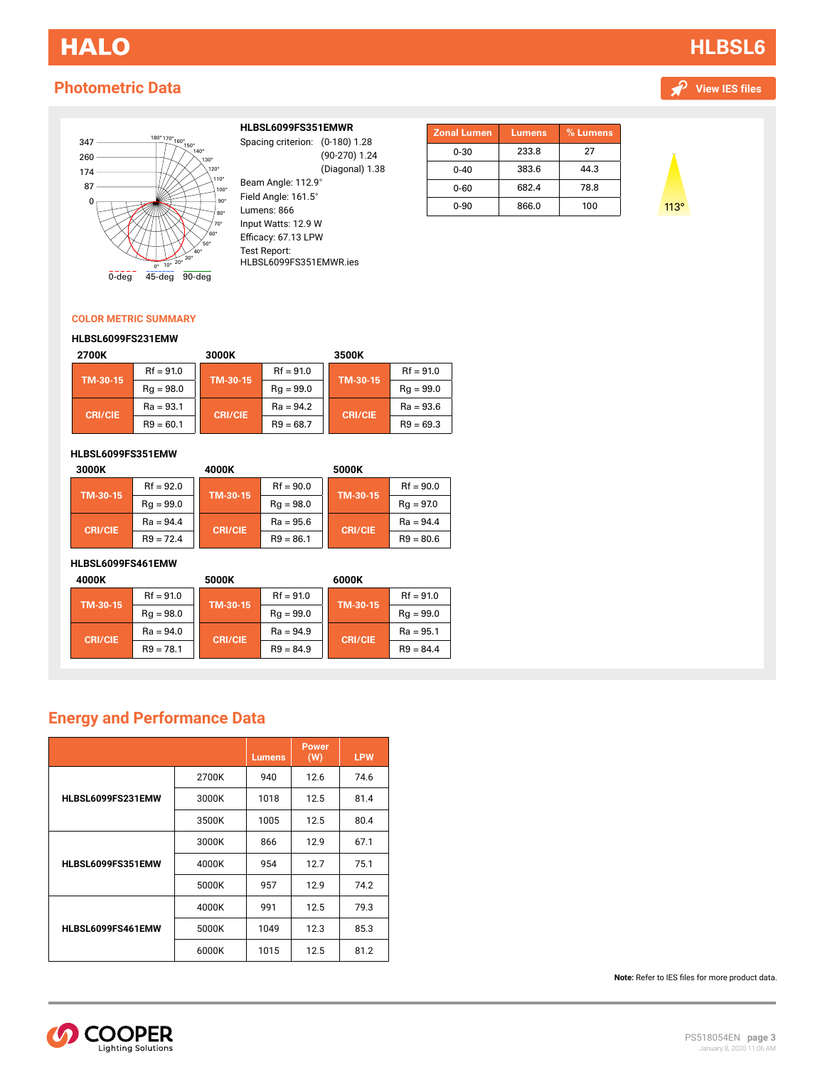## <span id="page-2-0"></span>**HALO**

## **Photometric Data**

## **[HLBSL6](#page-0-0)**





#### **HLBSL6099FS351EMWR**

**22** Spacing criterion: (0-180) Beam Angle: 112.9° (90-270) 1.24 (Diagonal) 1.38

Field Angle: 161.5° Lumens: 866 Input Watts: 87.7W Input Watts: 12.9 W Efficacy: 67.13 LPW Test Report: CD1-U.IES HLBSL6099FS351EMWR.ies

| <b>Zonal Lumen</b> | <b>Lumens</b> | % Lumens |
|--------------------|---------------|----------|
| $0 - 30$           | 233.8         | 27       |
| $0 - 40$           | 383.6         | 44.3     |
| $0 - 60$           | 682.4         | 78.8     |
| $0 - 90$           | 866.0         | 100      |



### **COLOR METRIC SUMMARY**

#### **HLBSL6099FS231EMW**

| 2700K          |             | 3000K          |             | 3500K          |             |
|----------------|-------------|----------------|-------------|----------------|-------------|
| TM-30-15       | $Rf = 91.0$ | TM-30-15       | $Rf = 91.0$ | TM-30-15       | $Rf = 91.0$ |
|                | $Rq = 98.0$ |                | $Rq = 99.0$ |                | $Rq = 99.0$ |
|                | $Ra = 93.1$ | <b>CRI/CIE</b> | $Ra = 94.2$ | <b>CRI/CIE</b> | $Ra = 93.6$ |
| <b>CRI/CIE</b> | $R9 = 60.1$ |                | $R9 = 68.7$ |                | $R9 = 69.3$ |

#### **HLBSL6099FS351EMW**

| 3000K          |             | 4000K          |             | 5000K          |             |
|----------------|-------------|----------------|-------------|----------------|-------------|
| TM-30-15       | $Rf = 92.0$ | TM-30-15       | $Rf = 90.0$ | TM-30-15       | $Rf = 90.0$ |
|                | $Rq = 99.0$ |                | $Rq = 98.0$ |                | $Rq = 97.0$ |
| <b>CRI/CIE</b> | $Ra = 94.4$ |                | $Ra = 95.6$ | <b>CRI/CIE</b> | $Ra = 94.4$ |
|                | $R9 = 72.4$ | <b>CRI/CIE</b> | $R9 = 86.1$ |                | $R9 = 80.6$ |

#### **HLBSL6099FS461EMW**

| 4000K          |             | 5000K          |             | 6000K          |             |
|----------------|-------------|----------------|-------------|----------------|-------------|
| TM-30-15       | $Rf = 91.0$ | TM-30-15       | $Rf = 91.0$ | TM-30-15       | $Rf = 91.0$ |
|                | $Rq = 98.0$ |                | $Rq = 99.0$ |                | $Rq = 99.0$ |
| <b>CRI/CIE</b> | $Ra = 94.0$ |                | $Ra = 94.9$ | <b>CRI/CIE</b> | $Ra = 95.1$ |
|                | $R9 = 78.1$ | <b>CRI/CIE</b> | $R9 = 84.9$ |                | $R9 = 84.4$ |

### **Energy and Performance Data**

|                   |       | <b>Lumens</b> | <b>Power</b><br>(W) | <b>LPW</b> |
|-------------------|-------|---------------|---------------------|------------|
|                   | 2700K | 940           | 12.6                | 74.6       |
| HLBSL6099FS231EMW | 3000K | 1018          | 12.5                | 81.4       |
|                   | 3500K | 1005          | 12.5                | 80.4       |
|                   | 3000K | 866           | 12.9                | 67.1       |
| HLBSL6099FS351EMW | 4000K | 954           | 12.7                | 75.1       |
|                   | 5000K | 957           | 12.9                | 74.2       |
|                   | 4000K | 991           | 12.5                | 79.3       |
| HLBSL6099FS461EMW | 5000K | 1049          | 12.3                | 85.3       |
|                   | 6000K | 1015          | 12.5                | 81.2       |

**Note:** Refer to IES files for more product data.